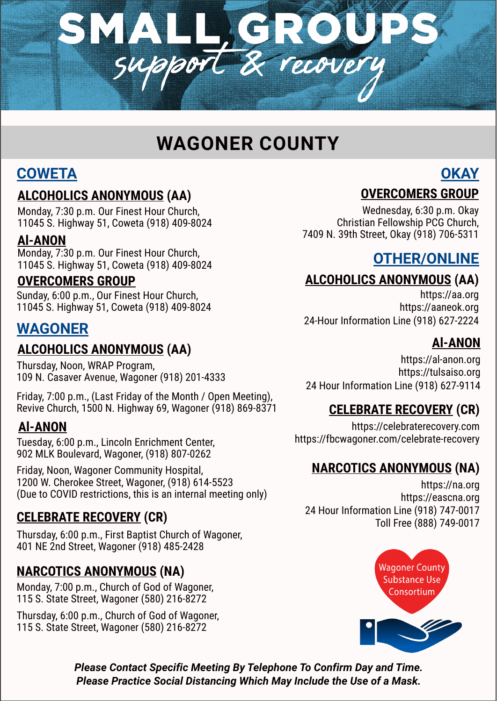

# **WAGONER COUNTY**

## **COWETA**

#### **ALCOHOLICS ANONYMOUS (AA)**

Monday, 7:30 p.m. Our Finest Hour Church, 11045 S. Highway 51, Coweta (918) 409-8024

#### **Al-ANON**

Monday, 7:30 p.m. Our Finest Hour Church, 11045 S. Highway 51, Coweta (918) 409-8024

#### **OVERCOMERS GROUP**

Sunday, 6:00 p.m., Our Finest Hour Church, 11045 S. Highway 51, Coweta (918) 409-8024

## **WAGONER**

## **ALCOHOLICS ANONYMOUS (AA)**

Thursday, Noon, WRAP Program, 109 N. Casaver Avenue, Wagoner (918) 201-4333

Friday, 7:00 p.m., (Last Friday of the Month / Open Meeting), Revive Church, 1500 N. Highway 69, Wagoner (918) 869-8371

### **Al-ANON**

Tuesday, 6:00 p.m., Lincoln Enrichment Center, 902 MLK Boulevard, Wagoner, (918) 807-0262

Friday, Noon, Wagoner Community Hospital, 1200 W. Cherokee Street, Wagoner, (918) 614-5523 (Due to COVID restrictions, this is an internal meeting only)

## **CELEBRATE RECOVERY (CR)**

Thursday, 6:00 p.m., First Baptist Church of Wagoner, 401 NE 2nd Street, Wagoner (918) 485-2428

## **NARCOTICS ANONYMOUS (NA)**

Monday, 7:00 p.m., Church of God of Wagoner, 115 S. State Street, Wagoner (580) 216-8272

Thursday, 6:00 p.m., Church of God of Wagoner, 115 S. State Street, Wagoner (580) 216-8272

## **OKAY OVERCOMERS GROUP**

Wednesday, 6:30 p.m. Okay Christian Fellowship PCG Church, 7409 N. 39th Street, Okay (918) 706-5311

## **OTHER/ONLINE**

## **ALCOHOLICS ANONYMOUS (AA)**

https://aa.org https://aaneok.org 24-Hour Information Line (918) 627-2224

## **Al-ANON**

https://al-anon.org https://tulsaiso.org 24 Hour Information Line (918) 627-9114

## **CELEBRATE RECOVERY (CR)**

https://celebraterecovery.com https://fbcwagoner.com/celebrate-recovery

## **NARCOTICS ANONYMOUS (NA)**

https://na.org https://eascna.org 24 Hour Information Line (918) 747-0017 Toll Free (888) 749-0017



*Please Contact Specific Meeting By Telephone To Confirm Day and Time. Please Practice Social Distancing Which May Include the Use of a Mask.*